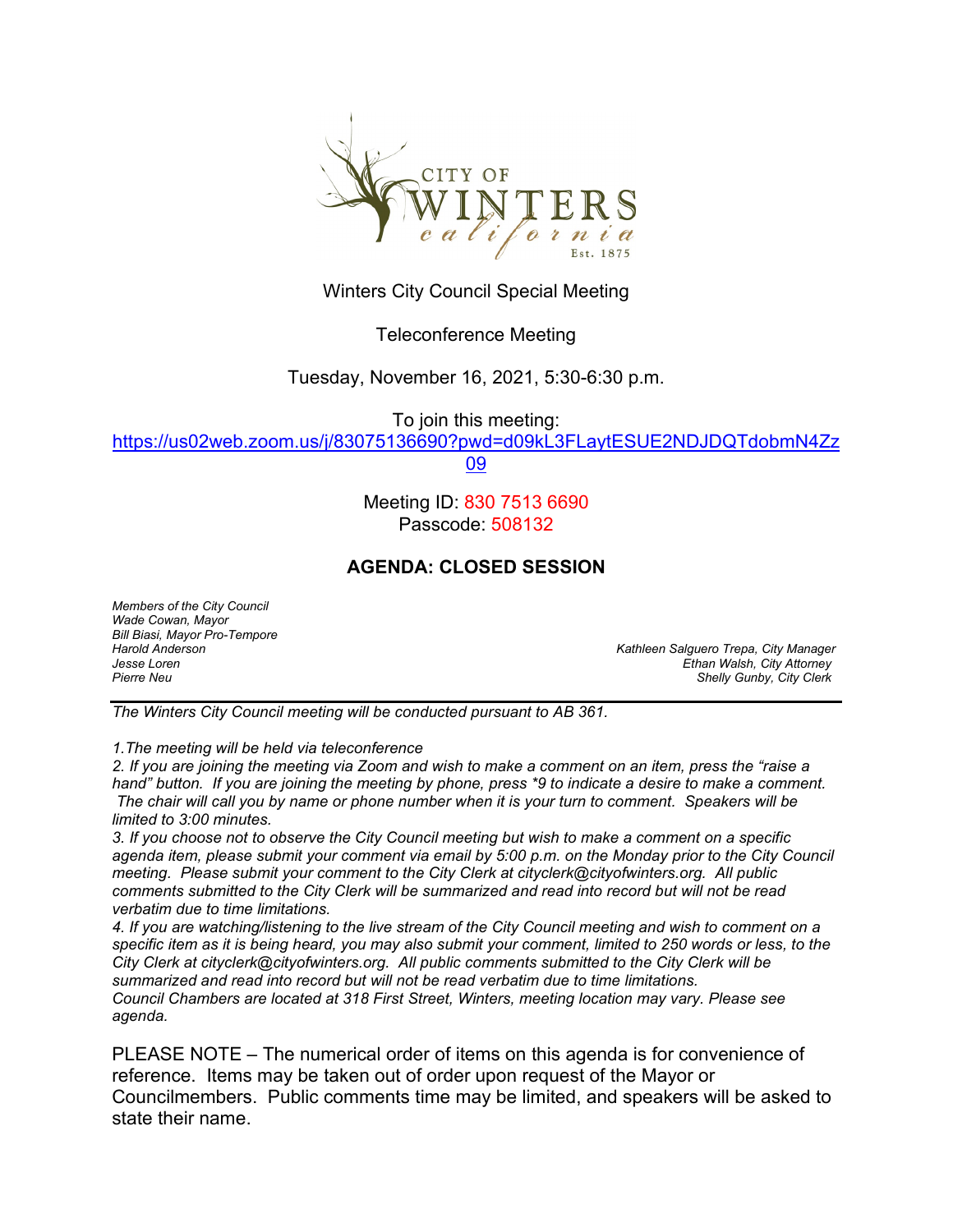

Winters City Council Special Meeting

## Teleconference Meeting

Tuesday, November 16, 2021, 5:30-6:30 p.m.

To join this meeting:

[https://us02web.zoom.us/j/83075136690?pwd=d09kL3FLaytESUE2NDJDQTdobmN4Zz](https://us02web.zoom.us/j/83075136690?pwd=d09kL3FLaytESUE2NDJDQTdobmN4Zz09)

[09](https://us02web.zoom.us/j/83075136690?pwd=d09kL3FLaytESUE2NDJDQTdobmN4Zz09)

Meeting ID: 830 7513 6690 Passcode: 508132

# **AGENDA: CLOSED SESSION**

*Members of the City Council Wade Cowan, Mayor Bill Biasi, Mayor Pro-Tempore*

*Harold Anderson Kathleen Salguero Trepa, City Manager Jesse Loren Ethan Walsh, City Attorney* **Shelly Gunby, City Clerk** 

*The Winters City Council meeting will be conducted pursuant to AB 361.*

*1.The meeting will be held via teleconference*

*2. If you are joining the meeting via Zoom and wish to make a comment on an item, press the "raise a hand" button. If you are joining the meeting by phone, press \*9 to indicate a desire to make a comment. The chair will call you by name or phone number when it is your turn to comment. Speakers will be limited to 3:00 minutes.*

*3. If you choose not to observe the City Council meeting but wish to make a comment on a specific agenda item, please submit your comment via email by 5:00 p.m. on the Monday prior to the City Council meeting. Please submit your comment to the City Clerk at cityclerk@cityofwinters.org. All public comments submitted to the City Clerk will be summarized and read into record but will not be read verbatim due to time limitations.*

*4. If you are watching/listening to the live stream of the City Council meeting and wish to comment on a specific item as it is being heard, you may also submit your comment, limited to 250 words or less, to the City Clerk at cityclerk@cityofwinters.org. All public comments submitted to the City Clerk will be summarized and read into record but will not be read verbatim due to time limitations. Council Chambers are located at 318 First Street, Winters, meeting location may vary. Please see agenda.*

PLEASE NOTE – The numerical order of items on this agenda is for convenience of reference. Items may be taken out of order upon request of the Mayor or Councilmembers. Public comments time may be limited, and speakers will be asked to state their name.